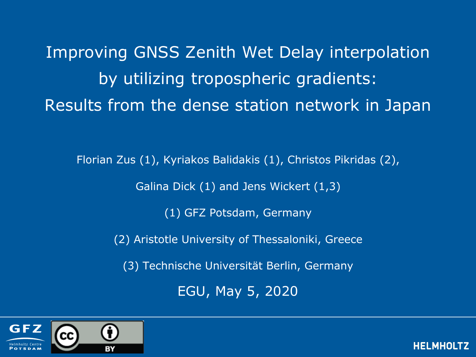Improving GNSS Zenith Wet Delay interpolation by utilizing tropospheric gradients: Results from the dense station network in Japan

Florian Zus (1), Kyriakos Balidakis (1), Christos Pikridas (2), Galina Dick (1) and Jens Wickert (1,3)

(1) GFZ Potsdam, Germany

(2) Aristotle University of Thessaloniki, Greece

(3) Technische Universität Berlin, Germany

EGU, May 5, 2020

**HELMHO** 

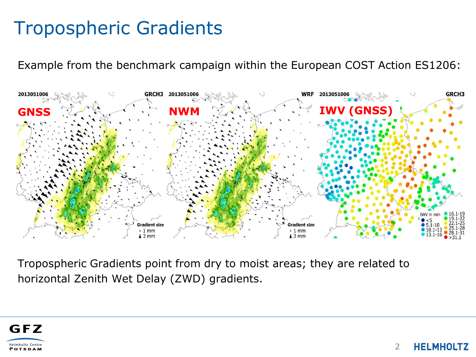# Tropospheric Gradients

Example from the benchmark campaign within the European COST Action ES1206:



Tropospheric Gradients point from dry to moist areas; they are related to horizontal Zenith Wet Delay (ZWD) gradients.



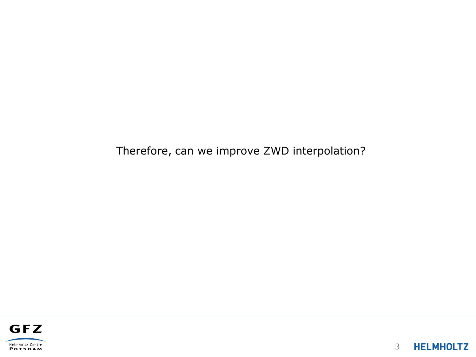Therefore, can we improve ZWD interpolation?

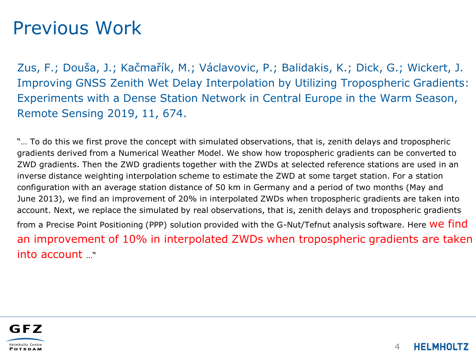## Previous Work

Zus, F.; Douša, J.; Kačmařík, M.; Václavovic, P.; Balidakis, K.; Dick, G.; Wickert, J. Improving GNSS Zenith Wet Delay Interpolation by Utilizing Tropospheric Gradients: Experiments with a Dense Station Network in Central Europe in the Warm Season, Remote Sensing 2019, 11, 674.

"… To do this we first prove the concept with simulated observations, that is, zenith delays and tropospheric gradients derived from a Numerical Weather Model. We show how tropospheric gradients can be converted to ZWD gradients. Then the ZWD gradients together with the ZWDs at selected reference stations are used in an inverse distance weighting interpolation scheme to estimate the ZWD at some target station. For a station configuration with an average station distance of 50 km in Germany and a period of two months (May and June 2013), we find an improvement of 20% in interpolated ZWDs when tropospheric gradients are taken into account. Next, we replace the simulated by real observations, that is, zenith delays and tropospheric gradients from a Precise Point Positioning (PPP) solution provided with the G-Nut/Tefnut analysis software. Here We find an improvement of 10% in interpolated ZWDs when tropospheric gradients are taken into account …"

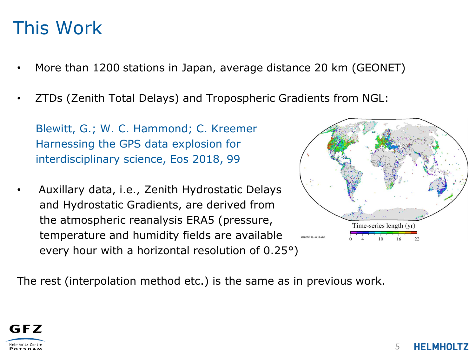## This Work

- More than 1200 stations in Japan, average distance 20 km (GEONET)
- ZTDs (Zenith Total Delays) and Tropospheric Gradients from NGL:

Blewitt, G.; W. C. Hammond; C. Kreemer Harnessing the GPS data explosion for interdisciplinary science, Eos 2018, 99

• Auxillary data, i.e., Zenith Hydrostatic Delays and Hydrostatic Gradients, are derived from the atmospheric reanalysis ERA5 (pressure, temperature and humidity fields are available every hour with a horizontal resolution of 0.25°)



The rest (interpolation method etc.) is the same as in previous work.

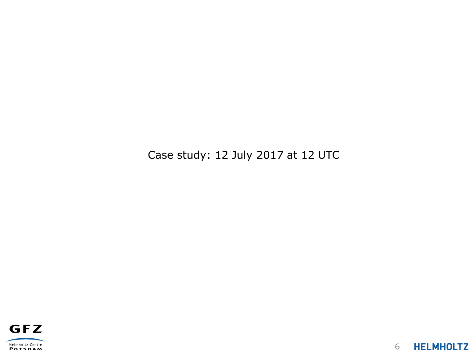Case study: 12 July 2017 at 12 UTC



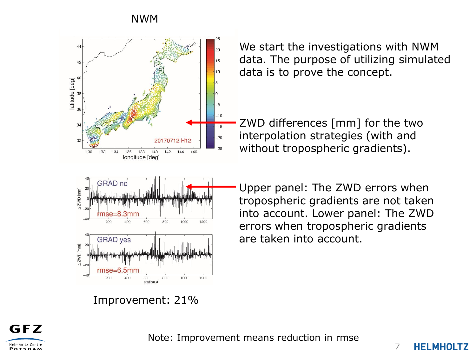### NWM



We start the investigations with NWM data. The purpose of utilizing simulated data is to prove the concept.

ZWD differences [mm] for the two interpolation strategies (with and without tropospheric gradients).

Upper panel: The ZWD errors when tropospheric gradients are not taken into account. Lower panel: The ZWD errors when tropospheric gradients are taken into account.

Improvement: 21%



Note: Improvement means reduction in rmse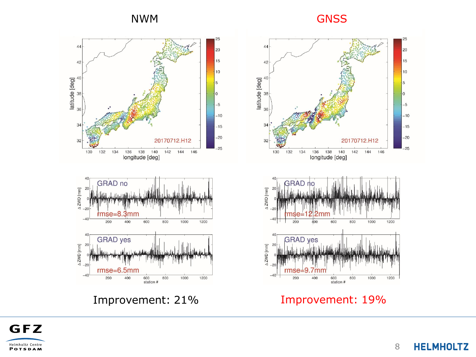### NWM GNSS



Improvement: 21%



Improvement: 19%



**HELMHOLTZ** 8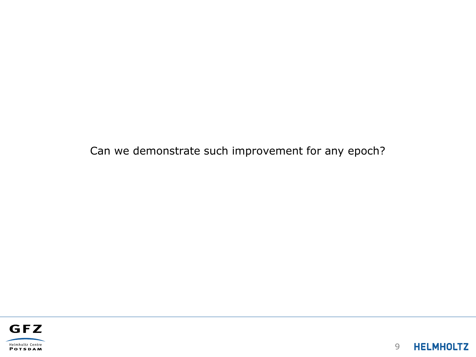Can we demonstrate such improvement for any epoch?

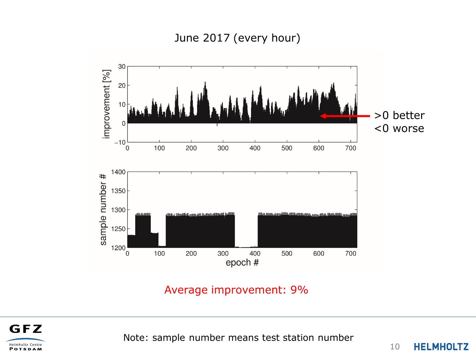June 2017 (every hour)



### Average improvement: 9%



Note: sample number means test station number

10 **HELMHOLTZ**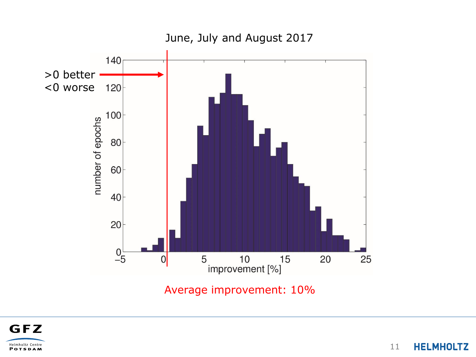

Average improvement: 10%



**HELMHOLTZ** 11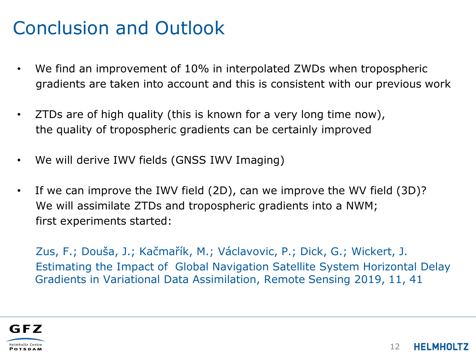# Conclusion and Outlook

- We find an improvement of 10% in interpolated ZWDs when tropospheric gradients are taken into account and this is consistent with our previous work
- ZTDs are of high quality (this is known for a very long time now), the quality of tropospheric gradients can be certainly improved
- We will derive IWV fields (GNSS IWV Imaging)
- If we can improve the IWV field (2D), can we improve the WV field (3D)? We will assimilate ZTDs and tropospheric gradients into a NWM; first experiments started:

Zus, F.; Douša, J.; Kačmařík, M.; Václavovic, P.; Dick, G.; Wickert, J. Estimating the Impact of Global Navigation Satellite System Horizontal Delay Gradients in Variational Data Assimilation, Remote Sensing 2019, 11, 41